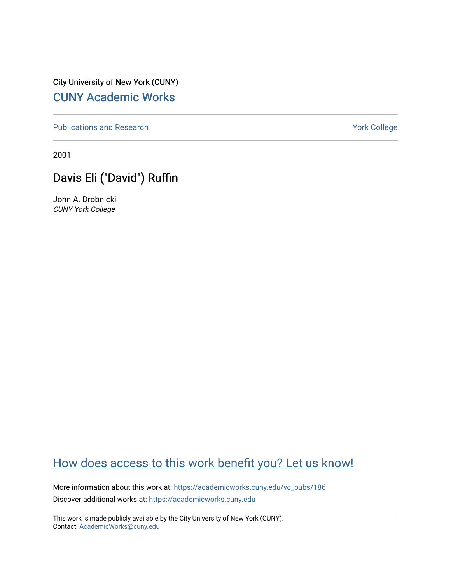City University of New York (CUNY) [CUNY Academic Works](https://academicworks.cuny.edu/) 

[Publications and Research](https://academicworks.cuny.edu/yc_pubs) Theorem 2012 Contract College Vork College

2001

## Davis Eli ("David") Ruffin

John A. Drobnicki CUNY York College

## [How does access to this work benefit you? Let us know!](http://ols.cuny.edu/academicworks/?ref=https://academicworks.cuny.edu/yc_pubs/186)

More information about this work at: [https://academicworks.cuny.edu/yc\\_pubs/186](https://academicworks.cuny.edu/yc_pubs/186) Discover additional works at: [https://academicworks.cuny.edu](https://academicworks.cuny.edu/?)

This work is made publicly available by the City University of New York (CUNY). Contact: [AcademicWorks@cuny.edu](mailto:AcademicWorks@cuny.edu)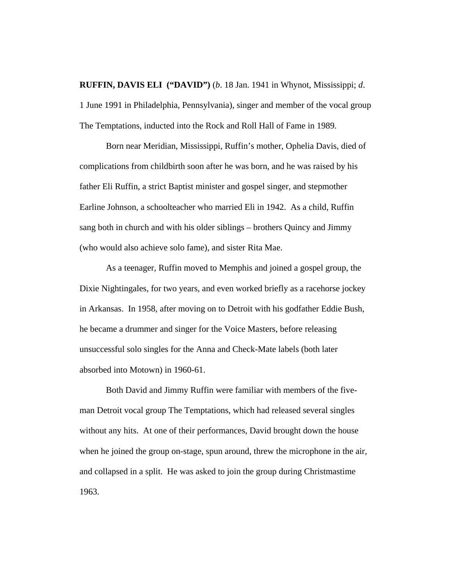**RUFFIN, DAVIS ELI ("DAVID")** (*b*. 18 Jan. 1941 in Whynot, Mississippi; *d*. 1 June 1991 in Philadelphia, Pennsylvania), singer and member of the vocal group The Temptations, inducted into the Rock and Roll Hall of Fame in 1989.

Born near Meridian, Mississippi, Ruffin's mother, Ophelia Davis, died of complications from childbirth soon after he was born, and he was raised by his father Eli Ruffin, a strict Baptist minister and gospel singer, and stepmother Earline Johnson, a schoolteacher who married Eli in 1942. As a child, Ruffin sang both in church and with his older siblings – brothers Quincy and Jimmy (who would also achieve solo fame), and sister Rita Mae.

As a teenager, Ruffin moved to Memphis and joined a gospel group, the Dixie Nightingales, for two years, and even worked briefly as a racehorse jockey in Arkansas. In 1958, after moving on to Detroit with his godfather Eddie Bush, he became a drummer and singer for the Voice Masters, before releasing unsuccessful solo singles for the Anna and Check-Mate labels (both later absorbed into Motown) in 1960-61.

Both David and Jimmy Ruffin were familiar with members of the fiveman Detroit vocal group The Temptations, which had released several singles without any hits. At one of their performances, David brought down the house when he joined the group on-stage, spun around, threw the microphone in the air, and collapsed in a split. He was asked to join the group during Christmastime 1963.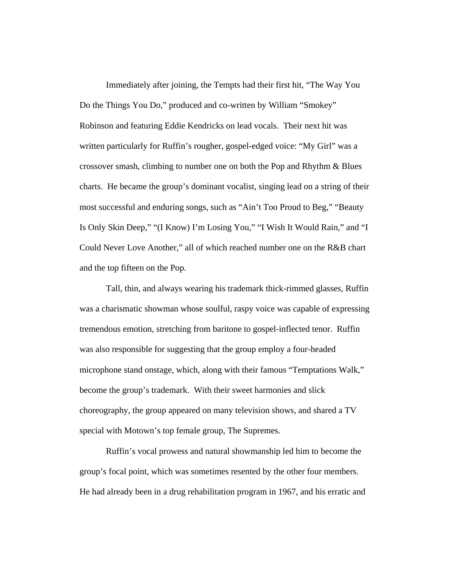Immediately after joining, the Tempts had their first hit, "The Way You Do the Things You Do," produced and co-written by William "Smokey" Robinson and featuring Eddie Kendricks on lead vocals. Their next hit was written particularly for Ruffin's rougher, gospel-edged voice: "My Girl" was a crossover smash, climbing to number one on both the Pop and Rhythm & Blues charts. He became the group's dominant vocalist, singing lead on a string of their most successful and enduring songs, such as "Ain't Too Proud to Beg," "Beauty Is Only Skin Deep," "(I Know) I'm Losing You," "I Wish It Would Rain," and "I Could Never Love Another," all of which reached number one on the R&B chart and the top fifteen on the Pop.

Tall, thin, and always wearing his trademark thick-rimmed glasses, Ruffin was a charismatic showman whose soulful, raspy voice was capable of expressing tremendous emotion, stretching from baritone to gospel-inflected tenor. Ruffin was also responsible for suggesting that the group employ a four-headed microphone stand onstage, which, along with their famous "Temptations Walk," become the group's trademark. With their sweet harmonies and slick choreography, the group appeared on many television shows, and shared a TV special with Motown's top female group, The Supremes.

Ruffin's vocal prowess and natural showmanship led him to become the group's focal point, which was sometimes resented by the other four members. He had already been in a drug rehabilitation program in 1967, and his erratic and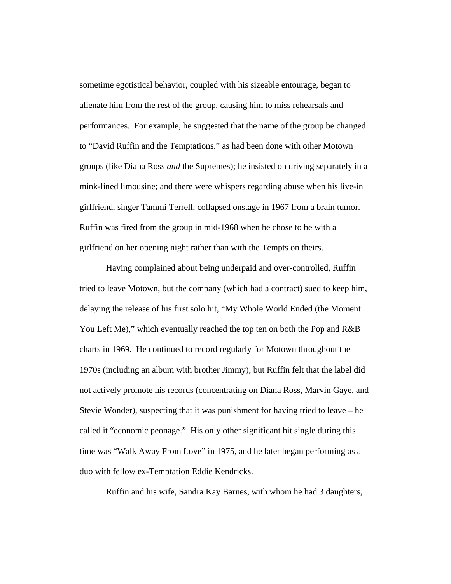sometime egotistical behavior, coupled with his sizeable entourage, began to alienate him from the rest of the group, causing him to miss rehearsals and performances. For example, he suggested that the name of the group be changed to "David Ruffin and the Temptations," as had been done with other Motown groups (like Diana Ross *and* the Supremes); he insisted on driving separately in a mink-lined limousine; and there were whispers regarding abuse when his live-in girlfriend, singer Tammi Terrell, collapsed onstage in 1967 from a brain tumor. Ruffin was fired from the group in mid-1968 when he chose to be with a girlfriend on her opening night rather than with the Tempts on theirs.

Having complained about being underpaid and over-controlled, Ruffin tried to leave Motown, but the company (which had a contract) sued to keep him, delaying the release of his first solo hit, "My Whole World Ended (the Moment You Left Me)," which eventually reached the top ten on both the Pop and R&B charts in 1969. He continued to record regularly for Motown throughout the 1970s (including an album with brother Jimmy), but Ruffin felt that the label did not actively promote his records (concentrating on Diana Ross, Marvin Gaye, and Stevie Wonder), suspecting that it was punishment for having tried to leave – he called it "economic peonage." His only other significant hit single during this time was "Walk Away From Love" in 1975, and he later began performing as a duo with fellow ex-Temptation Eddie Kendricks.

Ruffin and his wife, Sandra Kay Barnes, with whom he had 3 daughters,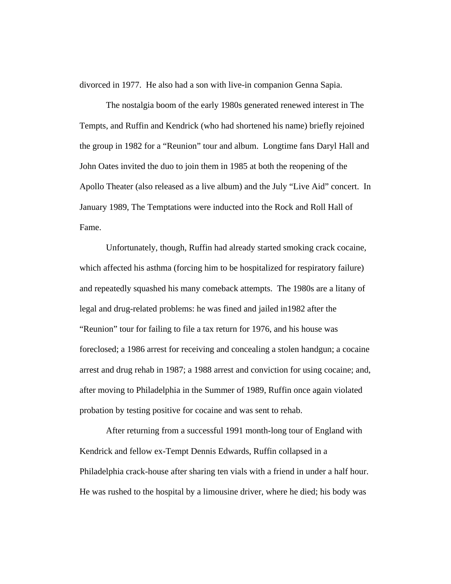divorced in 1977. He also had a son with live-in companion Genna Sapia.

The nostalgia boom of the early 1980s generated renewed interest in The Tempts, and Ruffin and Kendrick (who had shortened his name) briefly rejoined the group in 1982 for a "Reunion" tour and album. Longtime fans Daryl Hall and John Oates invited the duo to join them in 1985 at both the reopening of the Apollo Theater (also released as a live album) and the July "Live Aid" concert. In January 1989, The Temptations were inducted into the Rock and Roll Hall of Fame.

Unfortunately, though, Ruffin had already started smoking crack cocaine, which affected his asthma (forcing him to be hospitalized for respiratory failure) and repeatedly squashed his many comeback attempts. The 1980s are a litany of legal and drug-related problems: he was fined and jailed in1982 after the "Reunion" tour for failing to file a tax return for 1976, and his house was foreclosed; a 1986 arrest for receiving and concealing a stolen handgun; a cocaine arrest and drug rehab in 1987; a 1988 arrest and conviction for using cocaine; and, after moving to Philadelphia in the Summer of 1989, Ruffin once again violated probation by testing positive for cocaine and was sent to rehab.

After returning from a successful 1991 month-long tour of England with Kendrick and fellow ex-Tempt Dennis Edwards, Ruffin collapsed in a Philadelphia crack-house after sharing ten vials with a friend in under a half hour. He was rushed to the hospital by a limousine driver, where he died; his body was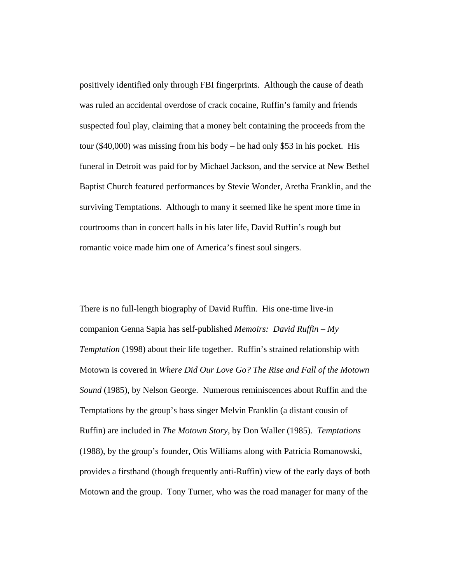positively identified only through FBI fingerprints. Although the cause of death was ruled an accidental overdose of crack cocaine, Ruffin's family and friends suspected foul play, claiming that a money belt containing the proceeds from the tour (\$40,000) was missing from his body – he had only \$53 in his pocket. His funeral in Detroit was paid for by Michael Jackson, and the service at New Bethel Baptist Church featured performances by Stevie Wonder, Aretha Franklin, and the surviving Temptations. Although to many it seemed like he spent more time in courtrooms than in concert halls in his later life, David Ruffin's rough but romantic voice made him one of America's finest soul singers.

There is no full-length biography of David Ruffin. His one-time live-in companion Genna Sapia has self-published *Memoirs: David Ruffin – My Temptation* (1998) about their life together. Ruffin's strained relationship with Motown is covered in *Where Did Our Love Go? The Rise and Fall of the Motown Sound* (1985), by Nelson George. Numerous reminiscences about Ruffin and the Temptations by the group's bass singer Melvin Franklin (a distant cousin of Ruffin) are included in *The Motown Story*, by Don Waller (1985). *Temptations* (1988), by the group's founder, Otis Williams along with Patricia Romanowski, provides a firsthand (though frequently anti-Ruffin) view of the early days of both Motown and the group. Tony Turner, who was the road manager for many of the